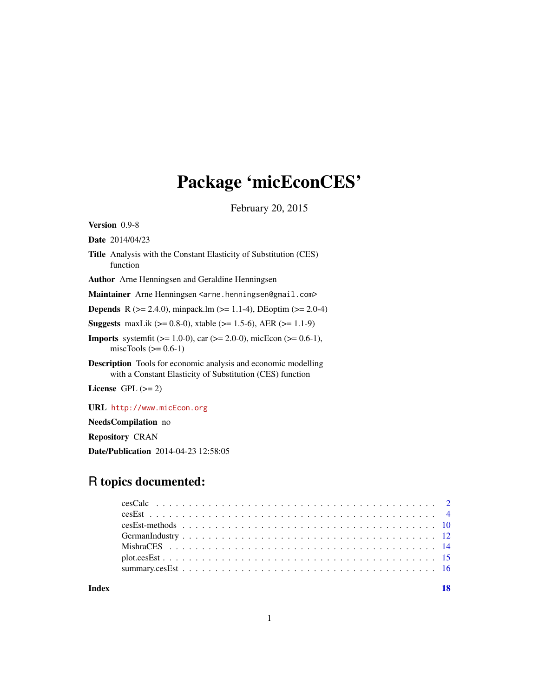# Package 'micEconCES'

February 20, 2015

<span id="page-0-0"></span>Version 0.9-8

Date 2014/04/23

- Title Analysis with the Constant Elasticity of Substitution (CES) function
- Author Arne Henningsen and Geraldine Henningsen

Maintainer Arne Henningsen <arne.henningsen@gmail.com>

**Depends** R ( $>= 2.4.0$ ), minpack.lm ( $>= 1.1-4$ ), DEoptim ( $>= 2.0-4$ )

**Suggests** maxLik ( $>= 0.8-0$ ), xtable ( $>= 1.5-6$ ), AER ( $>= 1.1-9$ )

**Imports** systemfit ( $>= 1.0-0$ ), car ( $>= 2.0-0$ ), micEcon ( $>= 0.6-1$ ), miscTools  $(>= 0.6-1)$ 

Description Tools for economic analysis and economic modelling with a Constant Elasticity of Substitution (CES) function

License GPL  $(>= 2)$ 

URL <http://www.micEcon.org>

NeedsCompilation no

Repository CRAN

Date/Publication 2014-04-23 12:58:05

# R topics documented:

**Index** 2008 **[18](#page-17-0)**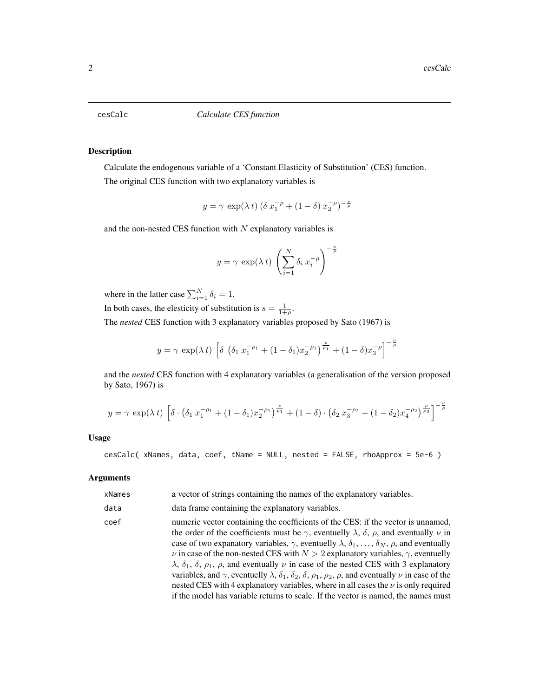<span id="page-1-1"></span><span id="page-1-0"></span>Calculate the endogenous variable of a 'Constant Elasticity of Substitution' (CES) function. The original CES function with two explanatory variables is

$$
y = \gamma \, \exp(\lambda \, t) \, (\delta \, x_1^{-\rho} + (1 - \delta) \, x_2^{-\rho})^{-\frac{\nu}{\rho}}
$$

and the non-nested CES function with  $N$  explanatory variables is

$$
y = \gamma \exp(\lambda t) \left(\sum_{i=1}^{N} \delta_i x_i^{-\rho}\right)^{-\frac{\nu}{\rho}}
$$

where in the latter case  $\sum_{i=1}^{N} \delta_i = 1$ .

In both cases, the elesticity of substitution is  $s = \frac{1}{1+\rho}$ .

The *nested* CES function with 3 explanatory variables proposed by Sato (1967) is

$$
y = \gamma \exp(\lambda t) \left[ \delta \left( \delta_1 x_1^{-\rho_1} + (1 - \delta_1) x_2^{-\rho_1} \right)_{\rho_1}^{\rho_1} + (1 - \delta) x_3^{-\rho} \right]^{-\frac{\nu}{\rho}}
$$

and the *nested* CES function with 4 explanatory variables (a generalisation of the version proposed by Sato, 1967) is

$$
y = \gamma \exp(\lambda t) \left[ \delta \cdot \left( \delta_1 x_1^{-\rho_1} + (1 - \delta_1) x_2^{-\rho_1} \right)^{\frac{\rho}{\rho_1}} + (1 - \delta) \cdot \left( \delta_2 x_3^{-\rho_2} + (1 - \delta_2) x_4^{-\rho_2} \right)^{\frac{\rho}{\rho_2}} \right]^{-\frac{\nu}{\rho}}
$$

#### Usage

cesCalc( xNames, data, coef, tName = NULL, nested = FALSE, rhoApprox = 5e-6 )

#### Arguments

| xNames | a vector of strings containing the names of the explanatory variables.                                                                                                                                                                                                                                                                                                                                                                                                                                                                                                                                                                                                                                                                                                                                                                                                                                       |
|--------|--------------------------------------------------------------------------------------------------------------------------------------------------------------------------------------------------------------------------------------------------------------------------------------------------------------------------------------------------------------------------------------------------------------------------------------------------------------------------------------------------------------------------------------------------------------------------------------------------------------------------------------------------------------------------------------------------------------------------------------------------------------------------------------------------------------------------------------------------------------------------------------------------------------|
| data   | data frame containing the explanatory variables.                                                                                                                                                                                                                                                                                                                                                                                                                                                                                                                                                                                                                                                                                                                                                                                                                                                             |
| coef   | numeric vector containing the coefficients of the CES: if the vector is unnamed,<br>the order of the coefficients must be $\gamma$ , eventuelly $\lambda$ , $\delta$ , $\rho$ , and eventually $\nu$ in<br>case of two expanatory variables, $\gamma$ , eventuelly $\lambda$ , $\delta_1$ , , $\delta_N$ , $\rho$ , and eventually<br>$\nu$ in case of the non-nested CES with $N > 2$ explanatory variables, $\gamma$ , eventuelly<br>$\lambda$ , $\delta_1$ , $\delta$ , $\rho_1$ , $\rho$ , and eventually $\nu$ in case of the nested CES with 3 explanatory<br>variables, and $\gamma$ , eventuelly $\lambda$ , $\delta_1$ , $\delta_2$ , $\delta$ , $\rho_1$ , $\rho_2$ , $\rho$ , and eventually $\nu$ in case of the<br>nested CES with 4 explanatory variables, where in all cases the $\nu$ is only required<br>if the model has variable returns to scale. If the vector is named, the names must |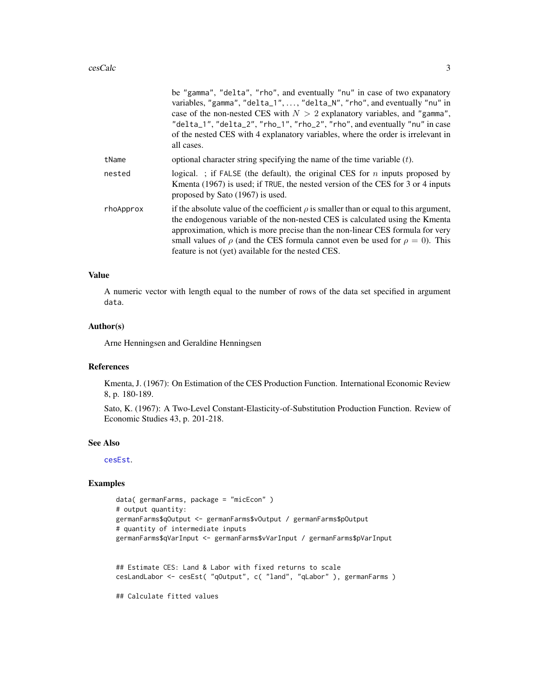<span id="page-2-0"></span>

|           | be "gamma", "delta", "rho", and eventually "nu" in case of two expanatory<br>variables, "gamma", "delta_1", , "delta_N", "rho", and eventually "nu" in<br>case of the non-nested CES with $N > 2$ explanatory variables, and "gamma",<br>"delta_1", "delta_2", "rho_1", "rho_2", "rho", and eventually "nu" in case<br>of the nested CES with 4 explanatory variables, where the order is irrelevant in<br>all cases. |
|-----------|-----------------------------------------------------------------------------------------------------------------------------------------------------------------------------------------------------------------------------------------------------------------------------------------------------------------------------------------------------------------------------------------------------------------------|
| tName     | optional character string specifying the name of the time variable $(t)$ .                                                                                                                                                                                                                                                                                                                                            |
| nested    | logical. ; if FALSE (the default), the original CES for $n$ inputs proposed by<br>Kmenta (1967) is used; if TRUE, the nested version of the CES for 3 or 4 inputs<br>proposed by Sato (1967) is used.                                                                                                                                                                                                                 |
| rhoApprox | if the absolute value of the coefficient $\rho$ is smaller than or equal to this argument,<br>the endogenous variable of the non-nested CES is calculated using the Kmenta<br>approximation, which is more precise than the non-linear CES formula for very<br>small values of $\rho$ (and the CES formula cannot even be used for $\rho = 0$ ). This<br>feature is not (yet) available for the nested CES.           |

#### Value

A numeric vector with length equal to the number of rows of the data set specified in argument data.

### Author(s)

Arne Henningsen and Geraldine Henningsen

#### References

Kmenta, J. (1967): On Estimation of the CES Production Function. International Economic Review 8, p. 180-189.

Sato, K. (1967): A Two-Level Constant-Elasticity-of-Substitution Production Function. Review of Economic Studies 43, p. 201-218.

#### See Also

[cesEst](#page-3-1).

```
data( germanFarms, package = "micEcon" )
# output quantity:
germanFarms$qOutput <- germanFarms$vOutput / germanFarms$pOutput
# quantity of intermediate inputs
germanFarms$qVarInput <- germanFarms$vVarInput / germanFarms$pVarInput
## Estimate CES: Land & Labor with fixed returns to scale
cesLandLabor <- cesEst( "qOutput", c( "land", "qLabor" ), germanFarms )
## Calculate fitted values
```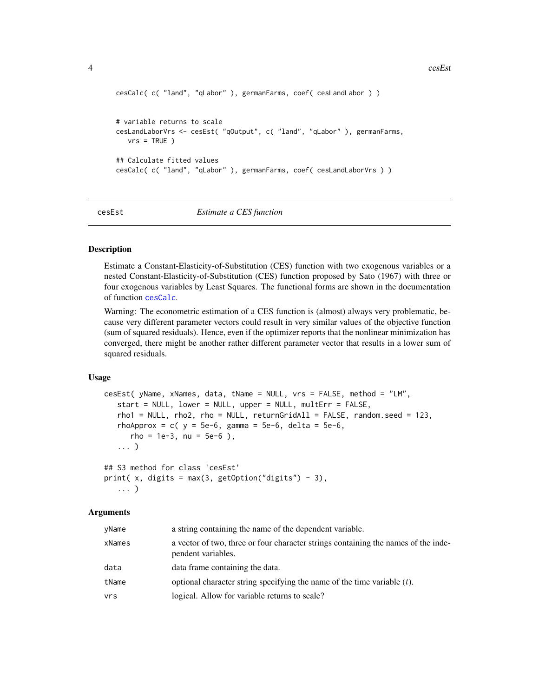#### <span id="page-3-0"></span>4 cesEst

```
cesCalc( c( "land", "qLabor" ), germanFarms, coef( cesLandLabor ) )
# variable returns to scale
cesLandLaborVrs <- cesEst( "qOutput", c( "land", "qLabor" ), germanFarms,
   vrs = TRUE)
## Calculate fitted values
cesCalc( c( "land", "qLabor" ), germanFarms, coef( cesLandLaborVrs ) )
```
# <span id="page-3-1"></span>cesEst *Estimate a CES function*

#### Description

Estimate a Constant-Elasticity-of-Substitution (CES) function with two exogenous variables or a nested Constant-Elasticity-of-Substitution (CES) function proposed by Sato (1967) with three or four exogenous variables by Least Squares. The functional forms are shown in the documentation of function [cesCalc](#page-1-1).

Warning: The econometric estimation of a CES function is (almost) always very problematic, because very different parameter vectors could result in very similar values of the objective function (sum of squared residuals). Hence, even if the optimizer reports that the nonlinear minimization has converged, there might be another rather different parameter vector that results in a lower sum of squared residuals.

#### Usage

```
cesEst( yName, xNames, data, tName = NULL, vrs = FALSE, method = "LM",
   start = NULL, lower = NULL, upper = NULL, multErr = FALSE,
   rho1 = NULL, rho2, rho = NULL, returnGridAll = FALSE, random.seed = 123,
   rhoApprox = c(y = 5e-6, gamma = 5e-6, delta = 5e-6,rho = 1e-3, nu = 5e-6 ),
   ... )
## S3 method for class 'cesEst'
print(x, digits = max(3, getOption("digits") - 3),
   ... )
```
#### **Arguments**

| yName  | a string containing the name of the dependent variable.                                                  |
|--------|----------------------------------------------------------------------------------------------------------|
| xNames | a vector of two, three or four character strings containing the names of the inde-<br>pendent variables. |
| data   | data frame containing the data.                                                                          |
| tName  | optional character string specifying the name of the time variable $(t)$ .                               |
| vrs    | logical. Allow for variable returns to scale?                                                            |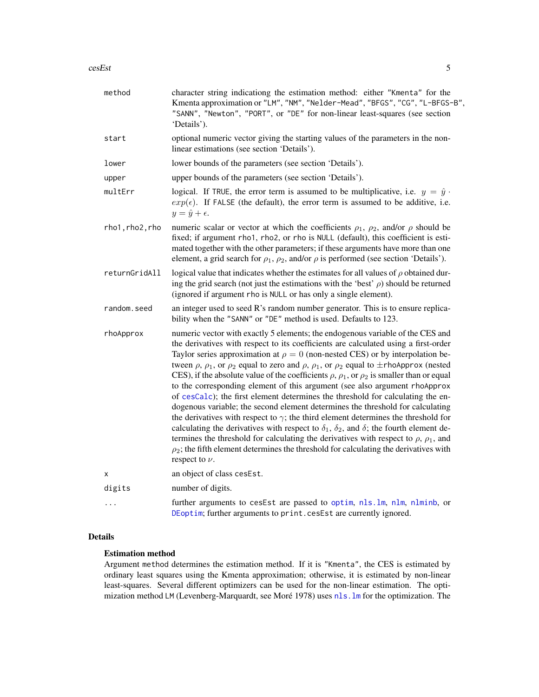#### <span id="page-4-0"></span>cesEst 5

| method          | character string indicationg the estimation method: either "Kmenta" for the<br>Kmenta approximation or "LM", "NM", "Nelder-Mead", "BFGS", "CG", "L-BFGS-B",<br>"SANN", "Newton", "PORT", or "DE" for non-linear least-squares (see section<br>'Details').                                                                                                                                                                                                                                                                                                                                                                                                                                                                                                                                                                                                                                                                                                                                                                                                                                                                                                                                |
|-----------------|------------------------------------------------------------------------------------------------------------------------------------------------------------------------------------------------------------------------------------------------------------------------------------------------------------------------------------------------------------------------------------------------------------------------------------------------------------------------------------------------------------------------------------------------------------------------------------------------------------------------------------------------------------------------------------------------------------------------------------------------------------------------------------------------------------------------------------------------------------------------------------------------------------------------------------------------------------------------------------------------------------------------------------------------------------------------------------------------------------------------------------------------------------------------------------------|
| start           | optional numeric vector giving the starting values of the parameters in the non-<br>linear estimations (see section 'Details').                                                                                                                                                                                                                                                                                                                                                                                                                                                                                                                                                                                                                                                                                                                                                                                                                                                                                                                                                                                                                                                          |
| lower           | lower bounds of the parameters (see section 'Details').                                                                                                                                                                                                                                                                                                                                                                                                                                                                                                                                                                                                                                                                                                                                                                                                                                                                                                                                                                                                                                                                                                                                  |
| upper           | upper bounds of the parameters (see section 'Details').                                                                                                                                                                                                                                                                                                                                                                                                                                                                                                                                                                                                                                                                                                                                                                                                                                                                                                                                                                                                                                                                                                                                  |
| multErr         | logical. If TRUE, the error term is assumed to be multiplicative, i.e. $y = \hat{y}$ .<br>$exp(\epsilon)$ . If FALSE (the default), the error term is assumed to be additive, i.e.<br>$y = \hat{y} + \epsilon.$                                                                                                                                                                                                                                                                                                                                                                                                                                                                                                                                                                                                                                                                                                                                                                                                                                                                                                                                                                          |
| rho1, rho2, rho | numeric scalar or vector at which the coefficients $\rho_1$ , $\rho_2$ , and/or $\rho$ should be<br>fixed; if argument rho1, rho2, or rho is NULL (default), this coefficient is esti-<br>mated together with the other parameters; if these arguments have more than one<br>element, a grid search for $\rho_1$ , $\rho_2$ , and/or $\rho$ is performed (see section 'Details').                                                                                                                                                                                                                                                                                                                                                                                                                                                                                                                                                                                                                                                                                                                                                                                                        |
| returnGridAll   | logical value that indicates whether the estimates for all values of $\rho$ obtained dur-<br>ing the grid search (not just the estimations with the 'best' $\rho$ ) should be returned<br>(ignored if argument rho is NULL or has only a single element).                                                                                                                                                                                                                                                                                                                                                                                                                                                                                                                                                                                                                                                                                                                                                                                                                                                                                                                                |
| random.seed     | an integer used to seed R's random number generator. This is to ensure replica-<br>bility when the "SANN" or "DE" method is used. Defaults to 123.                                                                                                                                                                                                                                                                                                                                                                                                                                                                                                                                                                                                                                                                                                                                                                                                                                                                                                                                                                                                                                       |
| rhoApprox       | numeric vector with exactly 5 elements; the endogenous variable of the CES and<br>the derivatives with respect to its coefficients are calculated using a first-order<br>Taylor series approximation at $\rho = 0$ (non-nested CES) or by interpolation be-<br>tween $\rho$ , $\rho_1$ , or $\rho_2$ equal to zero and $\rho$ , $\rho_1$ , or $\rho_2$ equal to $\pm$ rhoApprox (nested<br>CES), if the absolute value of the coefficients $\rho$ , $\rho_1$ , or $\rho_2$ is smaller than or equal<br>to the corresponding element of this argument (see also argument rhoApprox<br>of cesCalc); the first element determines the threshold for calculating the en-<br>dogenous variable; the second element determines the threshold for calculating<br>the derivatives with respect to $\gamma$ ; the third element determines the threshold for<br>calculating the derivatives with respect to $\delta_1$ , $\delta_2$ , and $\delta$ ; the fourth element de-<br>termines the threshold for calculating the derivatives with respect to $\rho$ , $\rho_1$ , and<br>$\rho_2$ ; the fifth element determines the threshold for calculating the derivatives with<br>respect to $\nu$ . |
| X               | an object of class cesEst.                                                                                                                                                                                                                                                                                                                                                                                                                                                                                                                                                                                                                                                                                                                                                                                                                                                                                                                                                                                                                                                                                                                                                               |
| digits          | number of digits.                                                                                                                                                                                                                                                                                                                                                                                                                                                                                                                                                                                                                                                                                                                                                                                                                                                                                                                                                                                                                                                                                                                                                                        |
| $\cdots$        | further arguments to cesEst are passed to optim, nls.lm, nlm, nlminb, or<br>DEoptim; further arguments to print.cesEst are currently ignored.                                                                                                                                                                                                                                                                                                                                                                                                                                                                                                                                                                                                                                                                                                                                                                                                                                                                                                                                                                                                                                            |

# Details

### Estimation method

Argument method determines the estimation method. If it is "Kmenta", the CES is estimated by ordinary least squares using the Kmenta approximation; otherwise, it is estimated by non-linear least-squares. Several different optimizers can be used for the non-linear estimation. The optimization method LM (Levenberg-Marquardt, see Moré 1978) uses [nls.lm](#page-0-0) for the optimization. The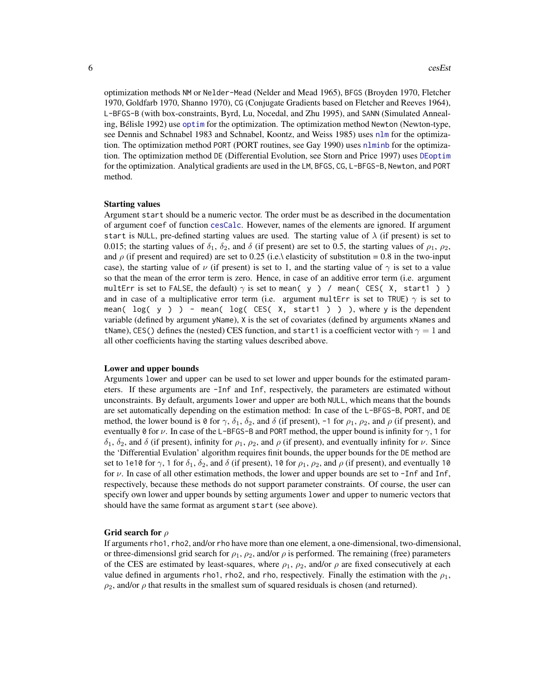<span id="page-5-0"></span>optimization methods NM or Nelder-Mead (Nelder and Mead 1965), BFGS (Broyden 1970, Fletcher 1970, Goldfarb 1970, Shanno 1970), CG (Conjugate Gradients based on Fletcher and Reeves 1964), L-BFGS-B (with box-constraints, Byrd, Lu, Nocedal, and Zhu 1995), and SANN (Simulated Annealing, Bélisle 1992) use [optim](#page-0-0) for the optimization. The optimization method Newton (Newton-type, see Dennis and Schnabel 1983 and Schnabel, Koontz, and Weiss 1985) uses [nlm](#page-0-0) for the optimization. The optimization method PORT (PORT routines, see Gay 1990) uses [nlminb](#page-0-0) for the optimization. The optimization method DE (Differential Evolution, see Storn and Price 1997) uses [DEoptim](#page-0-0) for the optimization. Analytical gradients are used in the LM, BFGS, CG, L-BFGS-B, Newton, and PORT method.

#### Starting values

Argument start should be a numeric vector. The order must be as described in the documentation of argument coef of function [cesCalc](#page-1-1). However, names of the elements are ignored. If argument start is NULL, pre-defined starting values are used. The starting value of  $\lambda$  (if present) is set to 0.015; the starting values of  $\delta_1$ ,  $\delta_2$ , and  $\delta$  (if present) are set to 0.5, the starting values of  $\rho_1$ ,  $\rho_2$ , and  $\rho$  (if present and required) are set to 0.25 (i.e.\ elasticity of substitution = 0.8 in the two-input case), the starting value of  $\nu$  (if present) is set to 1, and the starting value of  $\gamma$  is set to a value so that the mean of the error term is zero. Hence, in case of an additive error term (i.e. argument multErr is set to FALSE, the default)  $\gamma$  is set to mean( y ) / mean( CES( X, start1 ) ) and in case of a multiplicative error term (i.e. argument multErr is set to TRUE)  $\gamma$  is set to mean(  $log(y)$  ) - mean(  $log(CES(X, start1))$  ) ), where y is the dependent variable (defined by argument yName), X is the set of covariates (defined by arguments xNames and tName), CES() defines the (nested) CES function, and start1 is a coefficient vector with  $\gamma = 1$  and all other coefficients having the starting values described above.

#### Lower and upper bounds

Arguments lower and upper can be used to set lower and upper bounds for the estimated parameters. If these arguments are -Inf and Inf, respectively, the parameters are estimated without unconstraints. By default, arguments lower and upper are both NULL, which means that the bounds are set automatically depending on the estimation method: In case of the L-BFGS-B, PORT, and DE method, the lower bound is 0 for  $\gamma$ ,  $\delta_1$ ,  $\delta_2$ , and  $\delta$  (if present), -1 for  $\rho_1$ ,  $\rho_2$ , and  $\rho$  (if present), and eventually 0 for  $\nu$ . In case of the L-BFGS-B and PORT method, the upper bound is infinity for  $\gamma$ , 1 for  $\delta_1$ ,  $\delta_2$ , and  $\delta$  (if present), infinity for  $\rho_1$ ,  $\rho_2$ , and  $\rho$  (if present), and eventually infinity for  $\nu$ . Since the 'Differential Evulation' algorithm requires finit bounds, the upper bounds for the DE method are set to 1e10 for  $\gamma$ , 1 for  $\delta_1$ ,  $\delta_2$ , and  $\delta$  (if present), 10 for  $\rho_1$ ,  $\rho_2$ , and  $\rho$  (if present), and eventually 10 for  $\nu$ . In case of all other estimation methods, the lower and upper bounds are set to -Inf and Inf, respectively, because these methods do not support parameter constraints. Of course, the user can specify own lower and upper bounds by setting arguments lower and upper to numeric vectors that should have the same format as argument start (see above).

#### Grid search for  $\rho$

If arguments rho1, rho2, and/or rho have more than one element, a one-dimensional, two-dimensional, or three-dimensionsl grid search for  $\rho_1$ ,  $\rho_2$ , and/or  $\rho$  is performed. The remaining (free) parameters of the CES are estimated by least-squares, where  $\rho_1$ ,  $\rho_2$ , and/or  $\rho$  are fixed consecutively at each value defined in arguments rho1, rho2, and rho, respectively. Finally the estimation with the  $\rho_1$ ,  $\rho_2$ , and/or  $\rho$  that results in the smallest sum of squared residuals is chosen (and returned).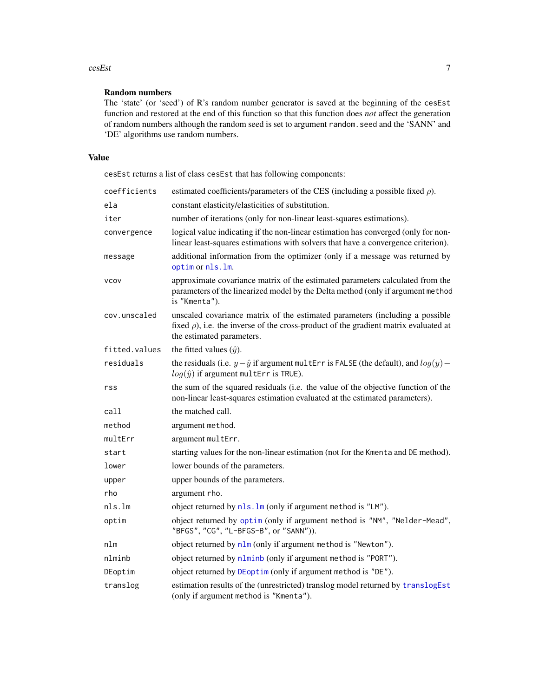#### <span id="page-6-0"></span>cesEst 7

# Random numbers

The 'state' (or 'seed') of R's random number generator is saved at the beginning of the cesEst function and restored at the end of this function so that this function does *not* affect the generation of random numbers although the random seed is set to argument random.seed and the 'SANN' and 'DE' algorithms use random numbers.

# Value

cesEst returns a list of class cesEst that has following components:

| coefficients  | estimated coefficients/parameters of the CES (including a possible fixed $\rho$ ).                                                                                                                     |
|---------------|--------------------------------------------------------------------------------------------------------------------------------------------------------------------------------------------------------|
| ela           | constant elasticity/elasticities of substitution.                                                                                                                                                      |
| iter          | number of iterations (only for non-linear least-squares estimations).                                                                                                                                  |
| convergence   | logical value indicating if the non-linear estimation has converged (only for non-<br>linear least-squares estimations with solvers that have a convergence criterion).                                |
| message       | additional information from the optimizer (only if a message was returned by<br>optim or nls.lm.                                                                                                       |
| <b>VCOV</b>   | approximate covariance matrix of the estimated parameters calculated from the<br>parameters of the linearized model by the Delta method (only if argument method<br>is "Kmenta").                      |
| cov.unscaled  | unscaled covariance matrix of the estimated parameters (including a possible<br>fixed $\rho$ ), i.e. the inverse of the cross-product of the gradient matrix evaluated at<br>the estimated parameters. |
| fitted.values | the fitted values $(\hat{y})$ .                                                                                                                                                                        |
| residuals     | the residuals (i.e. $y - \hat{y}$ if argument multErr is FALSE (the default), and $log(y)$ -<br>$log(\hat{y})$ if argument multErr is TRUE).                                                           |
| rss           | the sum of the squared residuals (i.e. the value of the objective function of the<br>non-linear least-squares estimation evaluated at the estimated parameters).                                       |
| call          | the matched call.                                                                                                                                                                                      |
| method        | argument method.                                                                                                                                                                                       |
| multErr       | argument multErr.                                                                                                                                                                                      |
| start         | starting values for the non-linear estimation (not for the Kmenta and DE method).                                                                                                                      |
| lower         | lower bounds of the parameters.                                                                                                                                                                        |
| upper         | upper bounds of the parameters.                                                                                                                                                                        |
| rho           | argument rho.                                                                                                                                                                                          |
| nls.lm        | object returned by nls. lm (only if argument method is "LM").                                                                                                                                          |
| optim         | object returned by optim (only if argument method is "NM", "Nelder-Mead",<br>"BFGS", "CG", "L-BFGS-B", or "SANN")).                                                                                    |
| nlm           | object returned by nlm (only if argument method is "Newton").                                                                                                                                          |
| nlminb        | object returned by nlminb (only if argument method is "PORT").                                                                                                                                         |
| DEoptim       | object returned by DEoptim (only if argument method is "DE").                                                                                                                                          |
| translog      | estimation results of the (unrestricted) translog model returned by translogEst<br>(only if argument method is "Kmenta").                                                                              |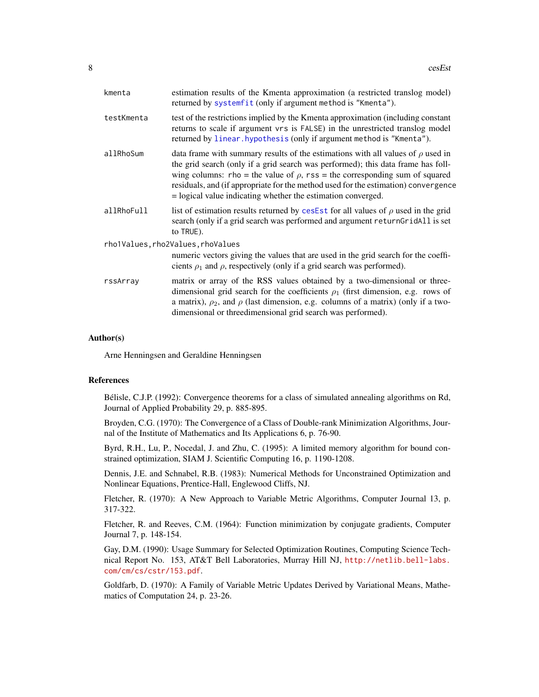<span id="page-7-0"></span>

| kmenta     | estimation results of the Kmenta approximation (a restricted translog model)<br>returned by systemfit (only if argument method is "Kmenta").                                                                                                                                                                                                                                                                       |
|------------|--------------------------------------------------------------------------------------------------------------------------------------------------------------------------------------------------------------------------------------------------------------------------------------------------------------------------------------------------------------------------------------------------------------------|
| testKmenta | test of the restrictions implied by the Kmenta approximation (including constant<br>returns to scale if argument vrs is FALSE) in the unrestricted translog model<br>returned by linear. hypothesis (only if argument method is "Kmenta").                                                                                                                                                                         |
| allRhoSum  | data frame with summary results of the estimations with all values of $\rho$ used in<br>the grid search (only if a grid search was performed); this data frame has foll-<br>wing columns: rho = the value of $\rho$ , rss = the corresponding sum of squared<br>residuals, and (if appropriate for the method used for the estimation) convergence<br>= logical value indicating whether the estimation converged. |
| allRhoFull | list of estimation results returned by cesEst for all values of $\rho$ used in the grid<br>search (only if a grid search was performed and argument returnGridAll is set<br>to TRUE).                                                                                                                                                                                                                              |
|            | rho1Values, rho2Values, rhoValues                                                                                                                                                                                                                                                                                                                                                                                  |
|            | numeric vectors giving the values that are used in the grid search for the coeffi-<br>cients $\rho_1$ and $\rho$ , respectively (only if a grid search was performed).                                                                                                                                                                                                                                             |
| rssArray   | matrix or array of the RSS values obtained by a two-dimensional or three-<br>dimensional grid search for the coefficients $\rho_1$ (first dimension, e.g. rows of<br>a matrix), $\rho_2$ , and $\rho$ (last dimension, e.g. columns of a matrix) (only if a two-<br>dimensional or threedimensional grid search was performed).                                                                                    |
|            |                                                                                                                                                                                                                                                                                                                                                                                                                    |

#### Author(s)

Arne Henningsen and Geraldine Henningsen

#### References

Bélisle, C.J.P. (1992): Convergence theorems for a class of simulated annealing algorithms on Rd, Journal of Applied Probability 29, p. 885-895.

Broyden, C.G. (1970): The Convergence of a Class of Double-rank Minimization Algorithms, Journal of the Institute of Mathematics and Its Applications 6, p. 76-90.

Byrd, R.H., Lu, P., Nocedal, J. and Zhu, C. (1995): A limited memory algorithm for bound constrained optimization, SIAM J. Scientific Computing 16, p. 1190-1208.

Dennis, J.E. and Schnabel, R.B. (1983): Numerical Methods for Unconstrained Optimization and Nonlinear Equations, Prentice-Hall, Englewood Cliffs, NJ.

Fletcher, R. (1970): A New Approach to Variable Metric Algorithms, Computer Journal 13, p. 317-322.

Fletcher, R. and Reeves, C.M. (1964): Function minimization by conjugate gradients, Computer Journal 7, p. 148-154.

Gay, D.M. (1990): Usage Summary for Selected Optimization Routines, Computing Science Technical Report No. 153, AT&T Bell Laboratories, Murray Hill NJ, [http://netlib.bell-labs.](http://netlib.bell-labs.com/cm/cs/cstr/153.pdf) [com/cm/cs/cstr/153.pdf](http://netlib.bell-labs.com/cm/cs/cstr/153.pdf).

Goldfarb, D. (1970): A Family of Variable Metric Updates Derived by Variational Means, Mathematics of Computation 24, p. 23-26.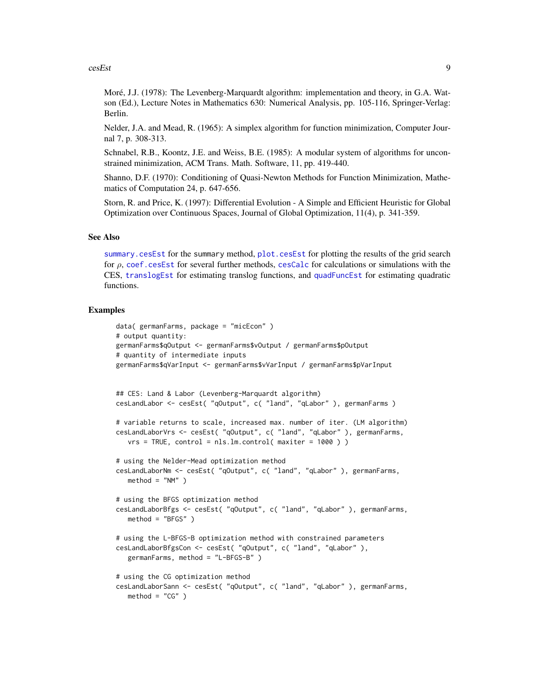#### <span id="page-8-0"></span> $\cos\theta$  9

Moré, J.J. (1978): The Levenberg-Marquardt algorithm: implementation and theory, in G.A. Watson (Ed.), Lecture Notes in Mathematics 630: Numerical Analysis, pp. 105-116, Springer-Verlag: Berlin.

Nelder, J.A. and Mead, R. (1965): A simplex algorithm for function minimization, Computer Journal 7, p. 308-313.

Schnabel, R.B., Koontz, J.E. and Weiss, B.E. (1985): A modular system of algorithms for unconstrained minimization, ACM Trans. Math. Software, 11, pp. 419-440.

Shanno, D.F. (1970): Conditioning of Quasi-Newton Methods for Function Minimization, Mathematics of Computation 24, p. 647-656.

Storn, R. and Price, K. (1997): Differential Evolution - A Simple and Efficient Heuristic for Global Optimization over Continuous Spaces, Journal of Global Optimization, 11(4), p. 341-359.

#### See Also

[summary.cesEst](#page-15-1) for the summary method, [plot.cesEst](#page-14-1) for plotting the results of the grid search for  $\rho$ , [coef.cesEst](#page-9-1) for several further methods, [cesCalc](#page-1-1) for calculations or simulations with the CES, [translogEst](#page-0-0) for estimating translog functions, and [quadFuncEst](#page-0-0) for estimating quadratic functions.

```
data( germanFarms, package = "micEcon" )
# output quantity:
germanFarms$qOutput <- germanFarms$vOutput / germanFarms$pOutput
# quantity of intermediate inputs
germanFarms$qVarInput <- germanFarms$vVarInput / germanFarms$pVarInput
## CES: Land & Labor (Levenberg-Marquardt algorithm)
cesLandLabor <- cesEst( "qOutput", c( "land", "qLabor" ), germanFarms )
# variable returns to scale, increased max. number of iter. (LM algorithm)
cesLandLaborVrs <- cesEst( "qOutput", c( "land", "qLabor" ), germanFarms,
   vrs = TRUE, control = nls.lm.control( maxiter = 1000 ) )
# using the Nelder-Mead optimization method
cesLandLaborNm <- cesEst( "qOutput", c( "land", "qLabor" ), germanFarms,
   method = "NM" )# using the BFGS optimization method
cesLandLaborBfgs <- cesEst( "qOutput", c( "land", "qLabor" ), germanFarms,
   method = "BFGS" )
# using the L-BFGS-B optimization method with constrained parameters
cesLandLaborBfgsCon <- cesEst( "qOutput", c( "land", "qLabor" ),
   germanFarms, method = "L-BFGS-B" )
# using the CG optimization method
cesLandLaborSann <- cesEst( "qOutput", c( "land", "qLabor" ), germanFarms,
   method = "CG" )
```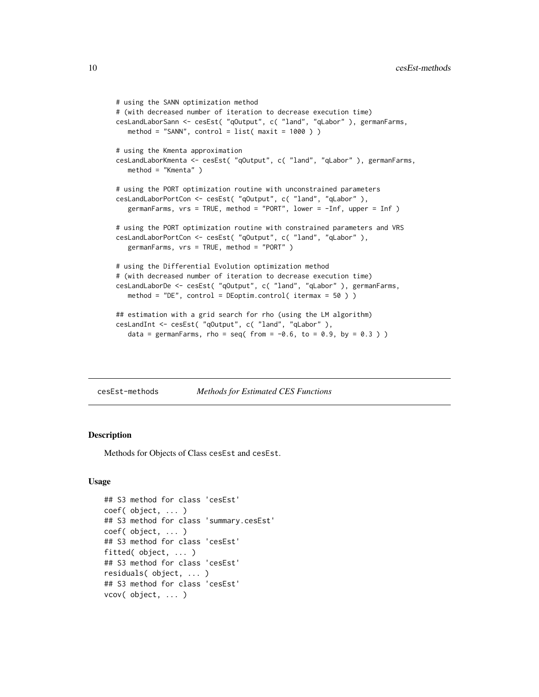```
# using the SANN optimization method
# (with decreased number of iteration to decrease execution time)
cesLandLaborSann <- cesEst( "qOutput", c( "land", "qLabor" ), germanFarms,
   method = "SANN", control = list(maxit = 1000))
# using the Kmenta approximation
cesLandLaborKmenta <- cesEst( "qOutput", c( "land", "qLabor" ), germanFarms,
   method = "Kmenta" )
# using the PORT optimization routine with unconstrained parameters
cesLandLaborPortCon <- cesEst( "qOutput", c( "land", "qLabor" ),
   germanFarms, vrs = TRUE, method = "PORT", lower = -Inf, upper = Inf )
# using the PORT optimization routine with constrained parameters and VRS
cesLandLaborPortCon <- cesEst( "qOutput", c( "land", "qLabor" ),
   germanFarms, vrs = TRUE, method = "PORT" )
# using the Differential Evolution optimization method
# (with decreased number of iteration to decrease execution time)
cesLandLaborDe <- cesEst( "qOutput", c( "land", "qLabor" ), germanFarms,
   method = "DE", control = DEoptim.control( itermax = 50 ) )
## estimation with a grid search for rho (using the LM algorithm)
cesLandInt <- cesEst( "qOutput", c( "land", "qLabor" ),
   data = germanFarms, rho = seq( from = -0.6, to = 0.9, by = 0.3))
```
cesEst-methods *Methods for Estimated CES Functions*

### <span id="page-9-1"></span>Description

Methods for Objects of Class cesEst and cesEst.

#### Usage

```
## S3 method for class 'cesEst'
coef( object, ... )
## S3 method for class 'summary.cesEst'
coef( object, ... )
## S3 method for class 'cesEst'
fitted( object, ... )
## S3 method for class 'cesEst'
residuals( object, ... )
## S3 method for class 'cesEst'
vcov( object, ... )
```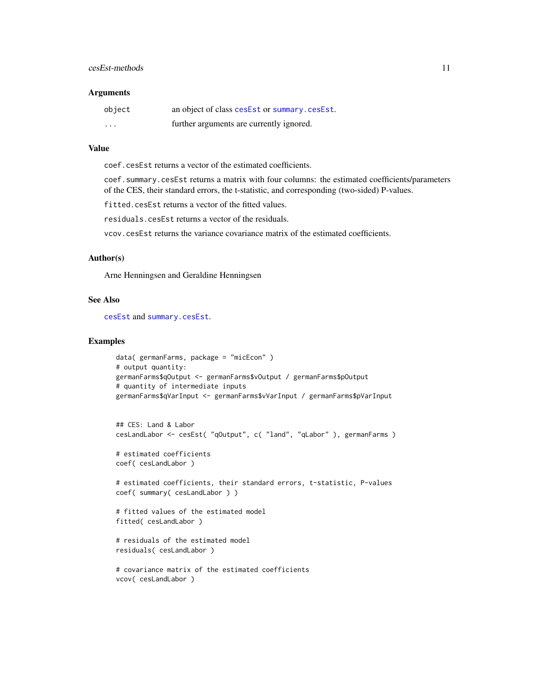#### <span id="page-10-0"></span>cesEst-methods 11

#### **Arguments**

| object   | an object of class cesEst or summary.cesEst. |
|----------|----------------------------------------------|
| $\cdots$ | further arguments are currently ignored.     |

#### Value

coef.cesEst returns a vector of the estimated coefficients.

coef.summary.cesEst returns a matrix with four columns: the estimated coefficients/parameters of the CES, their standard errors, the t-statistic, and corresponding (two-sided) P-values.

fitted.cesEst returns a vector of the fitted values.

residuals.cesEst returns a vector of the residuals.

vcov.cesEst returns the variance covariance matrix of the estimated coefficients.

## Author(s)

Arne Henningsen and Geraldine Henningsen

#### See Also

[cesEst](#page-3-1) and [summary.cesEst](#page-15-1).

```
data( germanFarms, package = "micEcon" )
# output quantity:
germanFarms$qOutput <- germanFarms$vOutput / germanFarms$pOutput
# quantity of intermediate inputs
germanFarms$qVarInput <- germanFarms$vVarInput / germanFarms$pVarInput
```

```
## CES: Land & Labor
cesLandLabor <- cesEst( "qOutput", c( "land", "qLabor" ), germanFarms )
```

```
# estimated coefficients
coef( cesLandLabor )
```

```
# estimated coefficients, their standard errors, t-statistic, P-values
coef( summary( cesLandLabor ) )
```

```
# fitted values of the estimated model
fitted( cesLandLabor )
```

```
# residuals of the estimated model
residuals( cesLandLabor )
```

```
# covariance matrix of the estimated coefficients
vcov( cesLandLabor )
```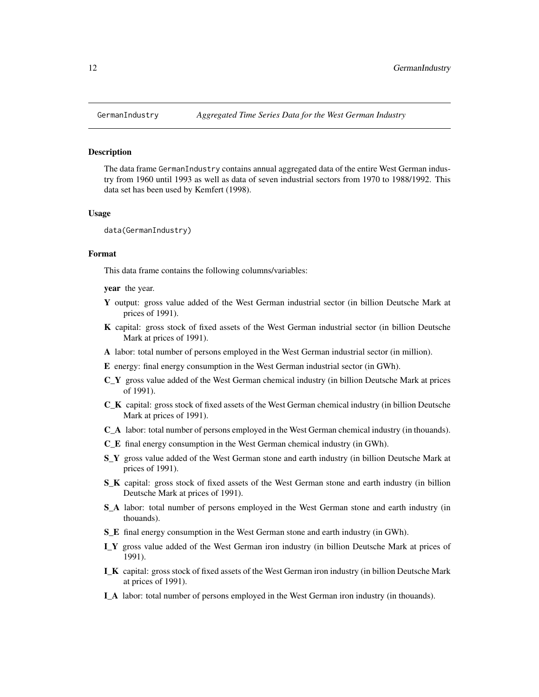<span id="page-11-0"></span>

The data frame GermanIndustry contains annual aggregated data of the entire West German industry from 1960 until 1993 as well as data of seven industrial sectors from 1970 to 1988/1992. This data set has been used by Kemfert (1998).

#### Usage

data(GermanIndustry)

#### Format

This data frame contains the following columns/variables:

**vear** the year.

- Y output: gross value added of the West German industrial sector (in billion Deutsche Mark at prices of 1991).
- K capital: gross stock of fixed assets of the West German industrial sector (in billion Deutsche Mark at prices of 1991).
- A labor: total number of persons employed in the West German industrial sector (in million).
- E energy: final energy consumption in the West German industrial sector (in GWh).
- C\_Y gross value added of the West German chemical industry (in billion Deutsche Mark at prices of 1991).
- C\_K capital: gross stock of fixed assets of the West German chemical industry (in billion Deutsche Mark at prices of 1991).
- C\_A labor: total number of persons employed in the West German chemical industry (in thouands).
- C\_E final energy consumption in the West German chemical industry (in GWh).
- S<sub>Y</sub> gross value added of the West German stone and earth industry (in billion Deutsche Mark at prices of 1991).
- S\_K capital: gross stock of fixed assets of the West German stone and earth industry (in billion Deutsche Mark at prices of 1991).
- S\_A labor: total number of persons employed in the West German stone and earth industry (in thouands).
- S\_E final energy consumption in the West German stone and earth industry (in GWh).
- I\_Y gross value added of the West German iron industry (in billion Deutsche Mark at prices of 1991).
- I\_K capital: gross stock of fixed assets of the West German iron industry (in billion Deutsche Mark at prices of 1991).
- I\_A labor: total number of persons employed in the West German iron industry (in thouands).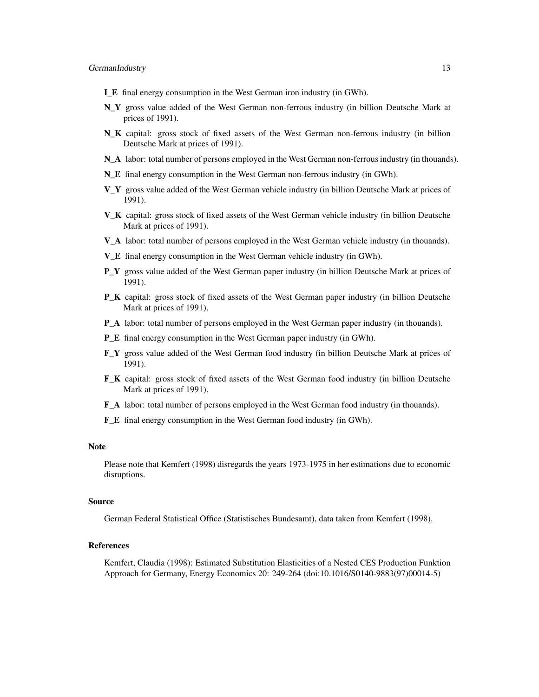- I\_E final energy consumption in the West German iron industry (in GWh).
- N<sub>Y</sub> gross value added of the West German non-ferrous industry (in billion Deutsche Mark at prices of 1991).
- N\_K capital: gross stock of fixed assets of the West German non-ferrous industry (in billion Deutsche Mark at prices of 1991).
- N\_A labor: total number of persons employed in the West German non-ferrous industry (in thouands).
- N\_E final energy consumption in the West German non-ferrous industry (in GWh).
- V\_Y gross value added of the West German vehicle industry (in billion Deutsche Mark at prices of 1991).
- V\_K capital: gross stock of fixed assets of the West German vehicle industry (in billion Deutsche Mark at prices of 1991).
- V\_A labor: total number of persons employed in the West German vehicle industry (in thouands).
- V\_E final energy consumption in the West German vehicle industry (in GWh).
- **P\_Y** gross value added of the West German paper industry (in billion Deutsche Mark at prices of 1991).
- P\_K capital: gross stock of fixed assets of the West German paper industry (in billion Deutsche Mark at prices of 1991).
- P\_A labor: total number of persons employed in the West German paper industry (in thouands).
- P\_E final energy consumption in the West German paper industry (in GWh).
- F\_Y gross value added of the West German food industry (in billion Deutsche Mark at prices of 1991).
- F\_K capital: gross stock of fixed assets of the West German food industry (in billion Deutsche Mark at prices of 1991).
- F\_A labor: total number of persons employed in the West German food industry (in thouands).
- F\_E final energy consumption in the West German food industry (in GWh).

#### **Note**

Please note that Kemfert (1998) disregards the years 1973-1975 in her estimations due to economic disruptions.

#### Source

German Federal Statistical Office (Statistisches Bundesamt), data taken from Kemfert (1998).

#### References

Kemfert, Claudia (1998): Estimated Substitution Elasticities of a Nested CES Production Funktion Approach for Germany, Energy Economics 20: 249-264 (doi:10.1016/S0140-9883(97)00014-5)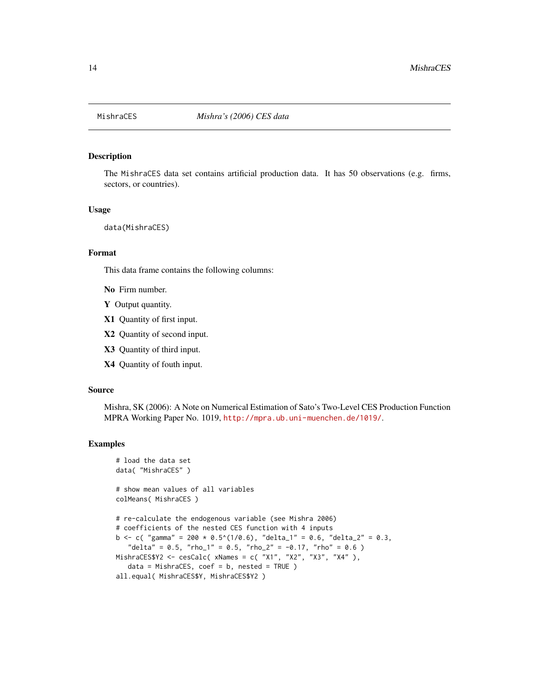<span id="page-13-0"></span>

The MishraCES data set contains artificial production data. It has 50 observations (e.g. firms, sectors, or countries).

#### Usage

data(MishraCES)

#### Format

This data frame contains the following columns:

No Firm number.

- Y Output quantity.
- X1 Quantity of first input.
- X2 Quantity of second input.
- X3 Quantity of third input.
- X4 Quantity of fouth input.

#### Source

Mishra, SK (2006): A Note on Numerical Estimation of Sato's Two-Level CES Production Function MPRA Working Paper No. 1019, <http://mpra.ub.uni-muenchen.de/1019/>.

```
# load the data set
data( "MishraCES" )
# show mean values of all variables
colMeans( MishraCES )
# re-calculate the endogenous variable (see Mishra 2006)
# coefficients of the nested CES function with 4 inputs
b <- c( "gamma" = 200 * 0.5^(1/0.6), "delta_1" = 0.6, "delta_2" = 0.3,
   "delta" = 0.5, "rho_1" = 0.5, "rho_2" = -0.17, "rho" = 0.6)
MishraCES$Y2 <- cesCalc( xNames = c( "X1", "X2", "X3", "X4" ),
   data = MishraCES, coef = b, nested = TRUE)all.equal( MishraCES$Y, MishraCES$Y2 )
```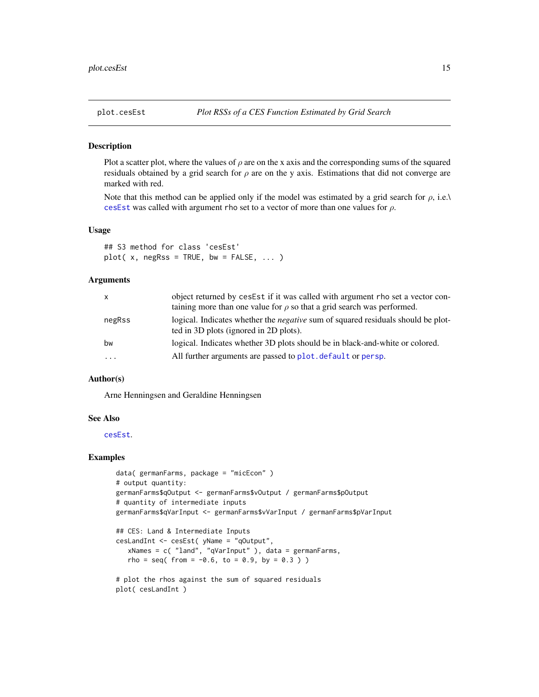<span id="page-14-1"></span><span id="page-14-0"></span>

Plot a scatter plot, where the values of  $\rho$  are on the x axis and the corresponding sums of the squared residuals obtained by a grid search for  $\rho$  are on the y axis. Estimations that did not converge are marked with red.

Note that this method can be applied only if the model was estimated by a grid search for  $\rho$ , i.e. $\lambda$ [cesEst](#page-3-1) was called with argument rho set to a vector of more than one values for  $\rho$ .

#### Usage

## S3 method for class 'cesEst'  $plot(x, negRs = TRUE, bw = FALSE, ...)$ 

#### Arguments

| X         | object returned by cesEst if it was called with argument rho set a vector con-<br>taining more than one value for $\rho$ so that a grid search was performed. |
|-----------|---------------------------------------------------------------------------------------------------------------------------------------------------------------|
| negRss    | logical. Indicates whether the <i>negative</i> sum of squared residuals should be plot-<br>ted in 3D plots (ignored in 2D plots).                             |
| bw        | logical. Indicates whether 3D plots should be in black-and-white or colored.                                                                                  |
| $\ddotsc$ | All further arguments are passed to plot. default or persp.                                                                                                   |

#### Author(s)

Arne Henningsen and Geraldine Henningsen

#### See Also

[cesEst](#page-3-1).

```
data( germanFarms, package = "micEcon" )
# output quantity:
germanFarms$qOutput <- germanFarms$vOutput / germanFarms$pOutput
# quantity of intermediate inputs
germanFarms$qVarInput <- germanFarms$vVarInput / germanFarms$pVarInput
## CES: Land & Intermediate Inputs
cesLandInt <- cesEst( yName = "qOutput",
   xNames = c( "land", "qVarInput" ), data = germanFarms,
   rho = seq( from = -0.6, to = 0.9, by = 0.3 ) )
# plot the rhos against the sum of squared residuals
plot( cesLandInt )
```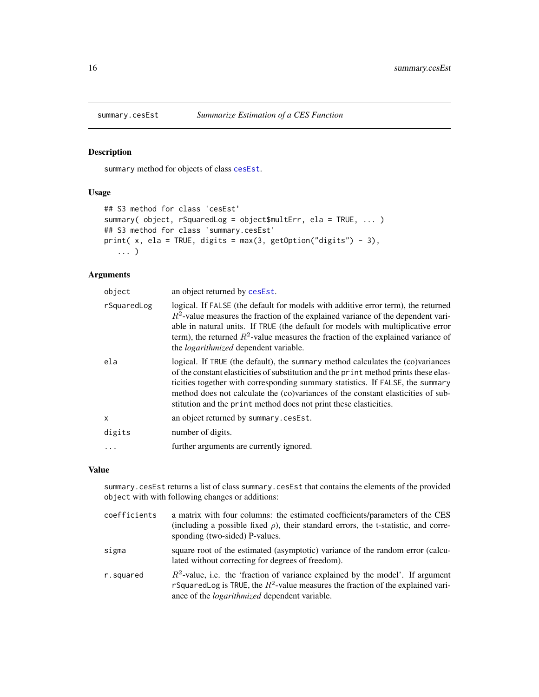<span id="page-15-1"></span><span id="page-15-0"></span>

summary method for objects of class [cesEst](#page-3-1).

#### Usage

```
## S3 method for class 'cesEst'
summary( object, rSquaredLog = object$multErr, ela = TRUE, ... )
## S3 method for class 'summary.cesEst'
print( x, ela = TRUE, digits = max(3, getOption("digits") - 3),
   ... )
```
# Arguments

| object      | an object returned by cesEst.                                                                                                                                                                                                                                                                                                                                                                                      |
|-------------|--------------------------------------------------------------------------------------------------------------------------------------------------------------------------------------------------------------------------------------------------------------------------------------------------------------------------------------------------------------------------------------------------------------------|
| rSquaredLog | logical. If FALSE (the default for models with additive error term), the returned<br>$R2$ -value measures the fraction of the explained variance of the dependent vari-<br>able in natural units. If TRUE (the default for models with multiplicative error<br>term), the returned $R^2$ -value measures the fraction of the explained variance of<br>the <i>logarithmized</i> dependent variable.                 |
| ela         | logical. If TRUE (the default), the summary method calculates the (co)variances<br>of the constant elasticities of substitution and the print method prints these elas-<br>ticities together with corresponding summary statistics. If FALSE, the summary<br>method does not calculate the (co)variances of the constant elasticities of sub-<br>stitution and the print method does not print these elasticities. |
| x           | an object returned by summary.cesEst.                                                                                                                                                                                                                                                                                                                                                                              |
| digits      | number of digits.                                                                                                                                                                                                                                                                                                                                                                                                  |
| $\ddots$    | further arguments are currently ignored.                                                                                                                                                                                                                                                                                                                                                                           |

# Value

summary.cesEst returns a list of class summary.cesEst that contains the elements of the provided object with with following changes or additions:

| coefficients | a matrix with four columns: the estimated coefficients/parameters of the CES<br>(including a possible fixed $\rho$ ), their standard errors, the t-statistic, and corre-<br>sponding (two-sided) P-values.                        |
|--------------|-----------------------------------------------------------------------------------------------------------------------------------------------------------------------------------------------------------------------------------|
| sigma        | square root of the estimated (asymptotic) variance of the random error (calcu-<br>lated without correcting for degrees of freedom).                                                                                               |
| r.squared    | $R^2$ -value, i.e. the 'fraction of variance explained by the model'. If argument<br>r Squared Log is TRUE, the $R^2$ -value measures the fraction of the explained vari-<br>ance of the <i>logarithmized</i> dependent variable. |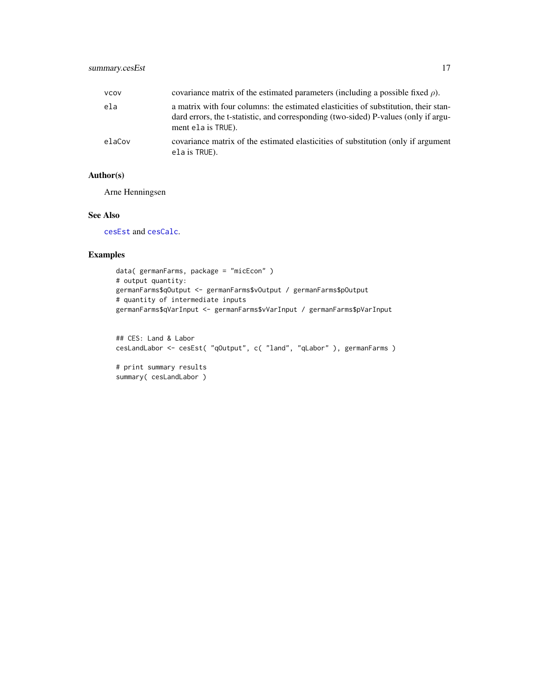<span id="page-16-0"></span>

| vcov   | covariance matrix of the estimated parameters (including a possible fixed $\rho$ ).                                                                                                              |
|--------|--------------------------------------------------------------------------------------------------------------------------------------------------------------------------------------------------|
| ela    | a matrix with four columns: the estimated elasticities of substitution, their stan-<br>dard errors, the t-statistic, and corresponding (two-sided) P-values (only if argu-<br>ment ela is TRUE). |
| elaCov | covariance matrix of the estimated elasticities of substitution (only if argument<br>ela is TRUE).                                                                                               |

# Author(s)

Arne Henningsen

# See Also

[cesEst](#page-3-1) and [cesCalc](#page-1-1).

#### Examples

```
data( germanFarms, package = "micEcon" )
# output quantity:
germanFarms$qOutput <- germanFarms$vOutput / germanFarms$pOutput
# quantity of intermediate inputs
germanFarms$qVarInput <- germanFarms$vVarInput / germanFarms$pVarInput
```

```
## CES: Land & Labor
cesLandLabor <- cesEst( "qOutput", c( "land", "qLabor" ), germanFarms )
# print summary results
```
summary( cesLandLabor )